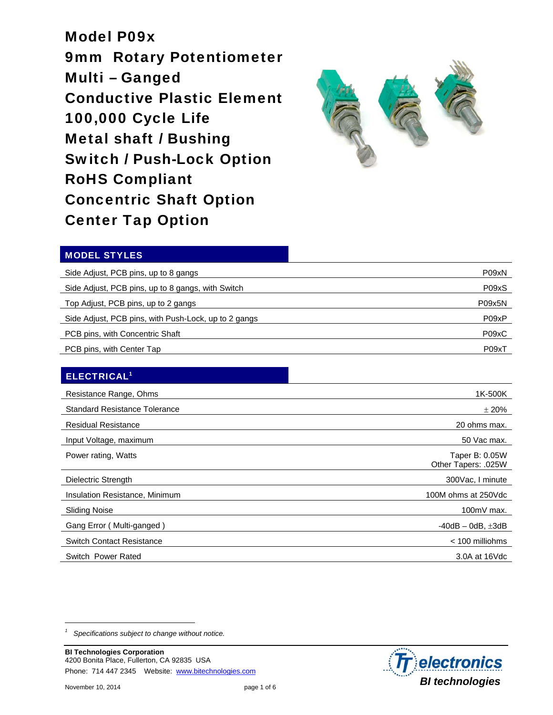Model P09x 9mm Rotary Potentiometer Multi – Ganged Conductive Plastic Element 100,000 Cycle Life Metal shaft / Bushing Switch / Push-Lock Option RoHS Compliant Concentric Shaft Option Center Tap Option



### MODEL STYLES

| Side Adjust, PCB pins, up to 8 gangs                 | P09xN  |
|------------------------------------------------------|--------|
| Side Adjust, PCB pins, up to 8 gangs, with Switch    | P09xS  |
| Top Adjust, PCB pins, up to 2 gangs                  | P09x5N |
| Side Adjust, PCB pins, with Push-Lock, up to 2 gangs | P09xP  |
| PCB pins, with Concentric Shaft                      | P09xC  |
| PCB pins, with Center Tap                            | P09xT  |

### ELECTRICAL1

| Resistance Range, Ohms               | 1K-500K                               |
|--------------------------------------|---------------------------------------|
| <b>Standard Resistance Tolerance</b> | $\pm 20\%$                            |
| <b>Residual Resistance</b>           | 20 ohms max.                          |
| Input Voltage, maximum               | 50 Vac max.                           |
| Power rating, Watts                  | Taper B: 0.05W<br>Other Tapers: .025W |
| Dielectric Strength                  | 300Vac, I minute                      |
| Insulation Resistance, Minimum       | 100M ohms at 250Vdc                   |
| <b>Sliding Noise</b>                 | $100mV$ max.                          |
| Gang Error (Multi-ganged)            | $-40$ dB $-0$ dB, $\pm 3$ dB          |
| <b>Switch Contact Resistance</b>     | $<$ 100 milliohms                     |
| Switch Power Rated                   | 3.0A at 16Vdc                         |

*<sup>1</sup> Specifications subject to change without notice.* 



 $\overline{a}$ 

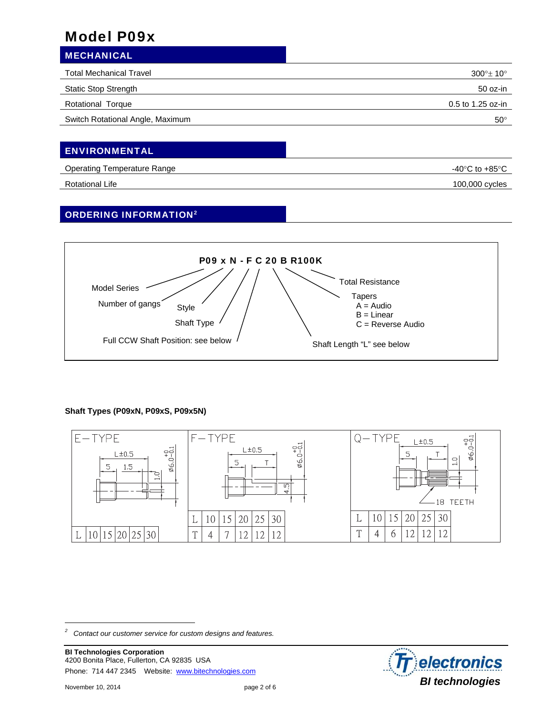| <b>MECHANICAL</b>                |                          |
|----------------------------------|--------------------------|
| <b>Total Mechanical Travel</b>   | $300^\circ \pm 10^\circ$ |
| <b>Static Stop Strength</b>      | 50 oz-in                 |
| Rotational Torque                | 0.5 to 1.25 oz-in        |
| Switch Rotational Angle, Maximum | $50^\circ$               |
|                                  |                          |

## **ENVIRONMENTAL**

| Operating Temperature Range | $-40^{\circ}$ C to $+85^{\circ}$ C |
|-----------------------------|------------------------------------|
| Rotational Life             | 100,000 cycles                     |

### ORDERING INFORMATION2



### **Shaft Types (P09xN, P09xS, P09x5N)**



*2 Contact our customer service for custom designs and features.* 

**BI Technologies Corporation**  4200 Bonita Place, Fullerton, CA 92835 USA Phone: 714 447 2345 Website: www.bitechnologies.com

-

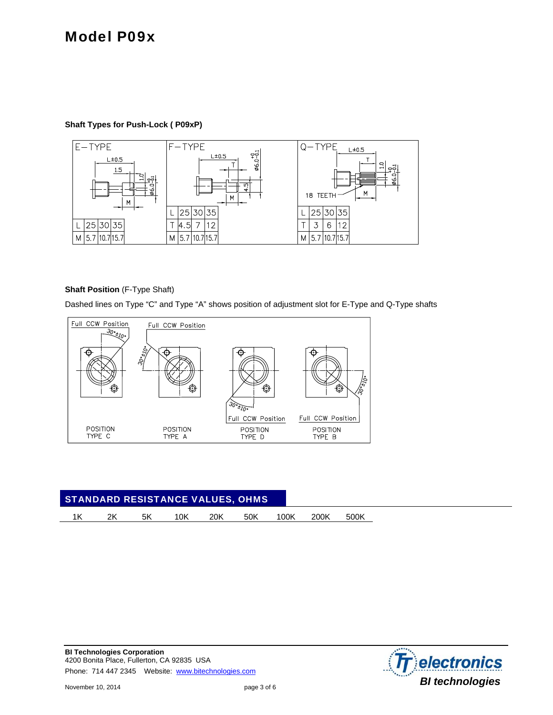#### **Shaft Types for Push-Lock ( P09xP)**



#### **Shaft Position** (F-Type Shaft)

Dashed lines on Type "C" and Type "A" shows position of adjustment slot for E-Type and Q-Type shafts



| <b>STANDARD RESISTANCE VALUES, OHMS</b> |    |    |     |     |     |      |      |      |  |  |
|-----------------------------------------|----|----|-----|-----|-----|------|------|------|--|--|
|                                         | 2K | 5K | 10K | 20K | 50K | 100K | 200K | 500K |  |  |

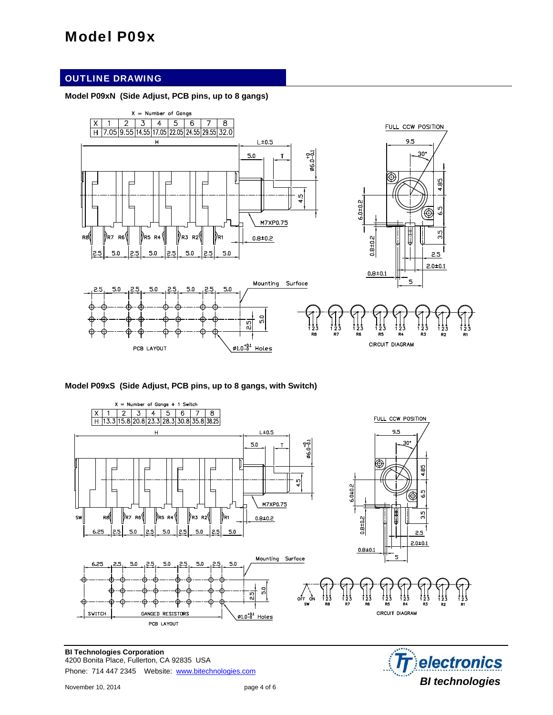### OUTLINE DRAWING

#### **Model P09xN (Side Adjust, PCB pins, up to 8 gangs)**



#### **Model P09xS (Side Adjust, PCB pins, up to 8 gangs, with Switch)**



**BI Technologies Corporation**  4200 Bonita Place, Fullerton, CA 92835 USA Phone: 714 447 2345 Website: www.bitechnologies.com

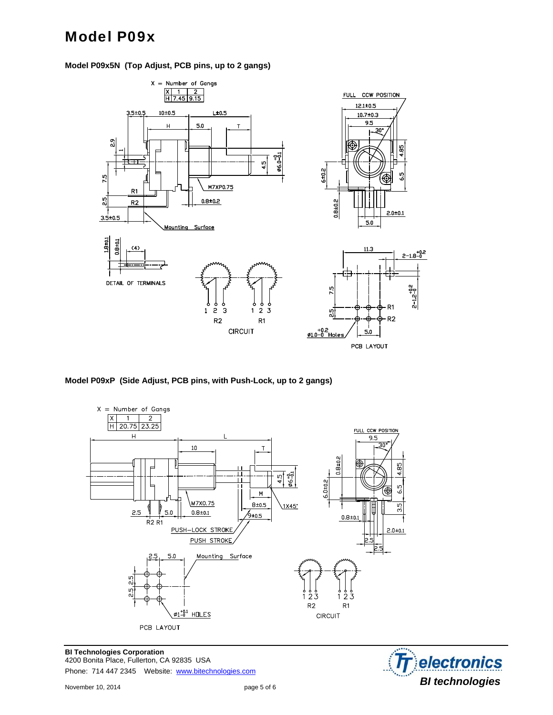



**Model P09xP (Side Adjust, PCB pins, with Push-Lock, up to 2 gangs)** 



**BI Technologies Corporation**  4200 Bonita Place, Fullerton, CA 92835 USA Phone: 714 447 2345 Website: www.bitechnologies.com